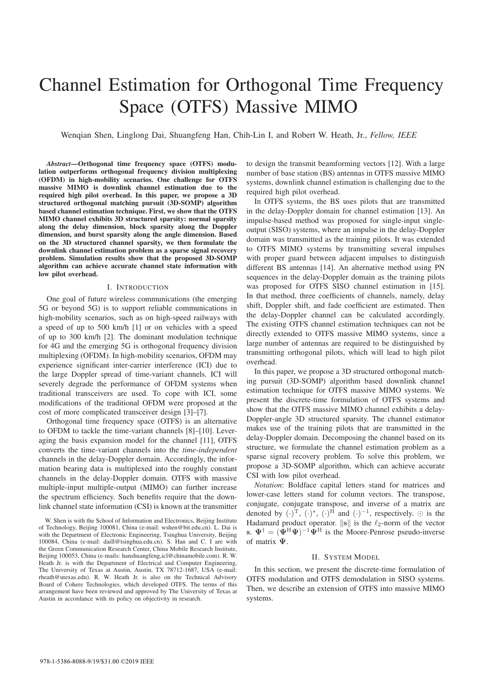# Channel Estimation for Orthogonal Time Frequency Space (OTFS) Massive MIMO

Wenqian Shen, Linglong Dai, Shuangfeng Han, Chih-Lin I, and Robert W. Heath, Jr., *Fellow, IEEE*

*Abstract*—Orthogonal time frequency space (OTFS) modulation outperforms orthogonal frequency division multiplexing (OFDM) in high-mobility scenarios. One challenge for OTFS massive MIMO is downlink channel estimation due to the required high pilot overhead. In this paper, we propose a 3D structured orthogonal matching pursuit (3D-SOMP) algorithm based channel estimation technique. First, we show that the OTFS MIMO channel exhibits 3D structured sparsity: normal sparsity along the delay dimension, block sparsity along the Doppler dimension, and burst sparsity along the angle dimension. Based on the 3D structured channel sparsity, we then formulate the downlink channel estimation problem as a sparse signal recovery problem. Simulation results show that the proposed 3D-SOMP algorithm can achieve accurate channel state information with low pilot overhead.

## I. INTRODUCTION

One goal of future wireless communications (the emerging 5G or beyond 5G) is to support reliable communications in high-mobility scenarios, such as on high-speed railways with a speed of up to 500 km/h [1] or on vehicles with a speed of up to 300 km/h [2]. The dominant modulation technique for 4G and the emerging 5G is orthogonal frequency division multiplexing (OFDM). In high-mobility scenarios, OFDM may experience significant inter-carrier interference (ICI) due to the large Doppler spread of time-variant channels. ICI will severely degrade the performance of OFDM systems when traditional transceivers are used. To cope with ICI, some modifications of the traditional OFDM were proposed at the cost of more complicated transceiver design [3]–[7].

Orthogonal time frequency space (OTFS) is an alternative to OFDM to tackle the time-variant channels [8]–[10]. Leveraging the basis expansion model for the channel [11], OTFS converts the time-variant channels into the *time-independent* channels in the delay-Doppler domain. Accordingly, the information bearing data is multiplexed into the roughly constant channels in the delay-Doppler domain. OTFS with massive multiple-input multiple-output (MIMO) can further increase the spectrum efficiency. Such benefits require that the downlink channel state information (CSI) is known at the transmitter to design the transmit beamforming vectors [12]. With a large number of base station (BS) antennas in OTFS massive MIMO systems, downlink channel estimation is challenging due to the required high pilot overhead.

In OTFS systems, the BS uses pilots that are transmitted in the delay-Doppler domain for channel estimation [13]. An impulse-based method was proposed for single-input singleoutput (SISO) systems, where an impulse in the delay-Doppler domain was transmitted as the training pilots. It was extended to OTFS MIMO systems by transmitting several impulses with proper guard between adjacent impulses to distinguish different BS antennas [14]. An alternative method using PN sequences in the delay-Doppler domain as the training pilots was proposed for OTFS SISO channel estimation in [15]. In that method, three coefficients of channels, namely, delay shift, Doppler shift, and fade coefficient are estimated. Then the delay-Doppler channel can be calculated accordingly. The existing OTFS channel estimation techniques can not be directly extended to OTFS massive MIMO systems, since a large number of antennas are required to be distinguished by transmitting orthogonal pilots, which will lead to high pilot overhead.

In this paper, we propose a 3D structured orthogonal matching pursuit (3D-SOMP) algorithm based downlink channel estimation technique for OTFS massive MIMO systems. We present the discrete-time formulation of OTFS systems and show that the OTFS massive MIMO channel exhibits a delay-Doppler-angle 3D structured sparsity. The channel estimator makes use of the training pilots that are transmitted in the delay-Doppler domain. Decomposing the channel based on its structure, we formulate the channel estimation problem as a sparse signal recovery problem. To solve this problem, we propose a 3D-SOMP algorithm, which can achieve accurate CSI with low pilot overhead.

*Notation*: Boldface capital letters stand for matrices and lower-case letters stand for column vectors. The transpose, conjugate, conjugate transpose, and inverse of a matrix are denoted by  $(\cdot)^{\mathrm{T}}$ ,  $(\cdot)^{*}$ ,  $(\cdot)^{\mathrm{H}}$  and  $(\cdot)^{-1}$ , respectively.  $\odot$  is the Hadamard product operator.  $||\mathbf{s}||$  is the  $\ell_{\infty}$ -porm of the vector Hadamard product operator.  $\|\mathbf{s}\|$  is the  $\ell_2$ -norm of the vector **s**.  $\Psi^{\dagger} = (\tilde{\Psi}^{\text{H}}\Psi)^{-1}\tilde{\Psi}^{\text{H}}$  is the Moore-Penrose pseudo-inverse of matrix **Ψ**.

#### II. SYSTEM MODEL

In this section, we present the discrete-time formulation of OTFS modulation and OTFS demodulation in SISO systems. Then, we describe an extension of OTFS into massive MIMO systems.

W. Shen is with the School of Information and Electronics, Beijing Institute of Technology, Beijing 100081, China (e-mail: wshen@bit.edu.cn). L. Dai is with the Department of Electronic Engineering, Tsinghua University, Beijing 100084, China (e-mail: daill@tsinghua.edu.cn). S. Han and C. I are with the Green Communication Research Center, China Mobile Research Institute, Beijing 100053, China (e-mails: hanshuangfeng,icl@chinamobile.com). R. W. Heath Jr. is with the Department of Electrical and Computer Engineering, The University of Texas at Austin, Austin, TX 78712-1687, USA (e-mail: rheath@utexas.edu). R. W. Heath Jr. is also on the Technical Advisory Board of Cohere Technologies, which developed OTFS. The terms of this arrangement have been reviewed and approved by The University of Texas at Austin in accordance with its policy on objectivity in research.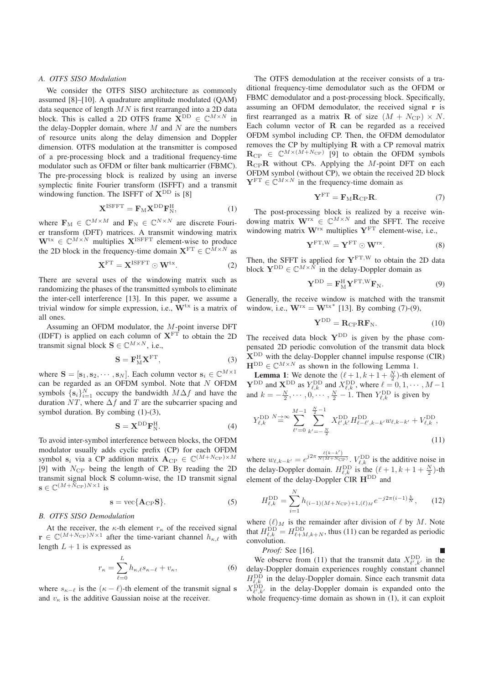#### *A. OTFS SISO Modulation*

We consider the OTFS SISO architecture as commonly assumed [8]–[10]. A quadrature amplitude modulated (QAM) data sequence of length  $MN$  is first rearranged into a 2D data block. This is called a 2D OTFS frame  $\mathbf{X}^{\text{DD}} \in \mathbb{C}^{M \times N}$  in the delay-Doppler domain, where  $M$  and  $N$  are the numbers of resource units along the delay dimension and Doppler dimension. OTFS modulation at the transmitter is composed of a pre-processing block and a traditional frequency-time modulator such as OFDM or filter bank multicarrier (FBMC). The pre-processing block is realized by using an inverse symplectic finite Fourier transform (ISFFT) and a transmit windowing function. The ISFFT of  $X^{DD}$  is [8]

$$
\mathbf{X}^{\text{ISFFT}} = \mathbf{F}_{\text{M}} \mathbf{X}^{\text{DD}} \mathbf{F}_{\text{N}}^{\text{H}},\tag{1}
$$

where  $\mathbf{F}_{\text{M}} \in \mathbb{C}^{M \times M}$  and  $\mathbf{F}_{\text{N}} \in \mathbb{C}^{N \times N}$  are discrete Fourier transform (DFT) matrices. A transmit windowing matrix  $\mathbf{W}^{tx} \in \mathbb{C}^{M \times N}$  multiplies  $\mathbf{X}^{\text{ISFFT}}$  element-wise to produce the 2D block in the frequency-time domain  $X^{FT} \in \mathbb{C}^{\tilde{M} \times N}$  as

$$
\mathbf{X}^{\mathrm{FT}} = \mathbf{X}^{\mathrm{ISFFT}} \odot \mathbf{W}^{\mathrm{tx}}.
$$
 (2)

There are several uses of the windowing matrix such as randomizing the phases of the transmitted symbols to eliminate the inter-cell interference [13]. In this paper, we assume a trivial window for simple expression, i.e., **W**tx is a matrix of all ones.

Assuming an OFDM modulator, the M-point inverse DFT (IDFT) is applied on each column of  $X<sup>FT</sup>$  to obtain the 2D transmit signal block **S**  $\in \mathbb{C}^{M \times N}$ , i.e.,

$$
\mathbf{S} = \mathbf{F}_{\mathrm{M}}^{\mathrm{H}} \mathbf{X}^{\mathrm{FT}},\tag{3}
$$

where **S** =  $[\mathbf{s}_1, \mathbf{s}_2, \cdots, \mathbf{s}_N]$ . Each column vector  $\mathbf{s}_i \in \mathbb{C}^{M \times 1}$ can be regarded as an OFDM symbol. Note that  $N$  OFDM symbols  $\{s_i\}_{i=1}^N$  occupy the bandwidth  $M\Delta f$  and have the duration  $NT$  where  $\Delta f$  and T are the subcarrier spacing and duration  $NT$ , where  $\Delta f$  and T are the subcarrier spacing and symbol duration. By combing (1)-(3),

$$
\mathbf{S} = \mathbf{X}^{\mathrm{DD}} \mathbf{F}_{\mathrm{N}}^{\mathrm{H}}.
$$
 (4)

To avoid inter-symbol interference between blocks, the OFDM modulator usually adds cyclic prefix (CP) for each OFDM symbol **s**<sub>i</sub> via a CP addition matrix  $\mathbf{A}_{\text{CP}} \in \mathbb{C}^{(M+N_{\text{CP}}) \times M}$ [9] with  $N_{\text{CP}}$  being the length of CP. By reading the 2D transmit signal block **S** column-wise, the 1D transmit signal  $\mathbf{s} \in \mathbb{C}^{(M+N_{\mathrm{CP}})N\times1}$  is

$$
s = \text{vec}\{\mathbf{A}_{\text{CP}}\mathbf{S}\}.
$$
 (5)

## *B. OTFS SISO Demodulation*

At the receiver, the  $\kappa$ -th element  $r_{\kappa}$  of the received signal  $\mathbf{r} \in \mathbb{C}^{(M+N_{\text{CP}})N\times1}$  after the time-variant channel  $h_{\kappa,\ell}$  with length  $L + 1$  is expressed as

$$
r_{\kappa} = \sum_{\ell=0}^{L} h_{\kappa,\ell} s_{\kappa-\ell} + v_{\kappa},\tag{6}
$$

where  $s_{\kappa-\ell}$  is the  $(\kappa-\ell)$ -th element of the transmit signal **s**<br>and *v* is the additive Gaussian poise at the receiver and  $v_{\kappa}$  is the additive Gaussian noise at the receiver.

The OTFS demodulation at the receiver consists of a traditional frequency-time demodulator such as the OFDM or FBMC demodulator and a post-processing block. Specifically, assuming an OFDM demodulator, the received signal **r** is first rearranged as a matrix **R** of size  $(M + N_{\text{CP}}) \times N$ . Each column vector of **R** can be regarded as a received OFDM symbol including CP. Then, the OFDM demodulator removes the CP by multiplying **R** with a CP removal matrix  $\mathbf{R}_{\text{CP}} \in \mathbb{C}^{M \times (M+N_{\text{CP}})}$  [9] to obtain the OFDM symbols<br> $\mathbf{R}_{\text{CP}}$  P without CR<sub>P</sub> Applying the *M* point DET on each  $R_{\text{CP}}R$  without CPs. Applying the M-point DFT on each  $\text{CEDM}$  sumbol (without CP) we obtain the received 2D blood OFDM symbol (without CP), we obtain the received 2D block  $\mathbf{Y}^{\text{FT}} \in \mathbb{C}^{M \times N}$  in the frequency-time domain as

$$
\mathbf{Y}^{\text{FT}} = \mathbf{F}_{\text{M}} \mathbf{R}_{\text{CP}} \mathbf{R}.
$$
 (7)

The post-processing block is realized by a receive windowing matrix  $W^{rx} \in \mathbb{C}^{M \times N}$  and the SFFT. The receive windowing matrix **W**rx multiplies **Y**FT element-wise, i.e.,

$$
\mathbf{Y}^{\mathrm{FT,W}} = \mathbf{Y}^{\mathrm{FT}} \odot \mathbf{W}^{\mathrm{rx}}.
$$
 (8)

Then, the SFFT is applied for **Y**FT,<sup>W</sup> to obtain the 2D data Firen, the SFTT is applied for  $\mathbf{r}$  and  $\mathbf{r}$  contain the block  $\mathbf{Y}^{\text{DD}} \in \mathbb{C}^{M \times N}$  in the delay-Doppler domain as

$$
\mathbf{Y}^{\text{DD}} = \mathbf{F}_{\text{M}}^{\text{H}} \mathbf{Y}^{\text{FT,W}} \mathbf{F}_{\text{N}}.
$$
 (9)

Generally, the receive window is matched with the transmit window, i.e.,  $W^{rx} = W^{tx*}$  [13]. By combing (7)-(9),

$$
\mathbf{Y}^{\text{DD}} = \mathbf{R}_{\text{CP}} \mathbf{R} \mathbf{F}_{\text{N}}.\tag{10}
$$

The received data block  $Y^{DD}$  is given by the phase compensated 2D periodic convolution of the transmit data block **X**DD with the delay-Doppler channel impulse response (CIR)  $\mathbf{H}^{\text{DD}} \in \mathbb{C}^{M \times N}$  as shown in the following Lemma 1.

**Lemma 1:** We denote the  $(\ell + 1, k + 1 + \frac{N}{2})$ -th element of  $\mathbf{Y}^{\text{DD}}$  and  $\mathbf{X}_{\ell,k}^{\text{DD}}$  as  $Y_{\ell,k}^{\text{DD}}$  and  $X_{\ell,k}^{\text{DD}}$ , where  $\ell = 0, 1, \cdots, M-1$ and  $k = -\frac{N}{2}, \cdots, 0, \cdots, \frac{N}{2} - 1$ . Then  $Y_{\ell,k}^{\text{DD}}$  is given by

$$
Y_{\ell,k}^{\text{DD}} \stackrel{N \to \infty}{=} \sum_{\ell'=0}^{M-1} \sum_{k'=-\frac{N}{2}}^{\frac{N}{2}-1} X_{\ell',k'}^{\text{DD}} H_{\ell-\ell',k-k'}^{\text{DD}} w_{\ell,k-k'} + V_{\ell,k}^{\text{DD}},\tag{11}
$$

where  $w_{\ell,k-k'} = e^{j2\pi \frac{\ell(k-k')}{N(M+N_{\rm CP})}}$ .  $V_{\ell,k}^{\rm DD}$  is the additive noise in the delay Dombr domain.  $H^{\rm DD}$  is the  $(\ell+1, k+1, N, t)$ the delay-Doppler domain.  $H_{\ell,k}^{\text{DD}}$  is the  $(\ell+1, k+1+\frac{N}{2})$ -th element of the delay-Doppler CIR **H**<sup>DD</sup> and

$$
H_{\ell,k}^{\rm DD} = \sum_{i=1}^{N} h_{(i-1)(M+N_{\rm CP})+1,(\ell)_M} e^{-j2\pi(i-1)\frac{k}{N}},\qquad(12)
$$

where  $(\ell)_M$  is the remainder after division of  $\ell$  by  $M$ . Note that  $H_{\ell,k}^{\text{DD}} = H_{\ell+M,k+N}^{\text{DD}}$ , thus (11) can be regarded as periodic convolution where  $(\ell)_M$  is the remainder after division of  $\ell$  by M. Note convolution.

*Proof:* See [16].

We observe from (11) that the transmit data  $X_{\ell',k'}^{\rm DD}$  in the delay-Doppler domain experiences roughly constant channel  $H_{\ell,k}^{\rm DD}$  in the delay-Doppler domain. Since each transmit data  $X_{\ell',k'}^{\rm DD}$  in the delay-Doppler domain is expanded onto the whole frequency-time domain as shown in (1), it can exploit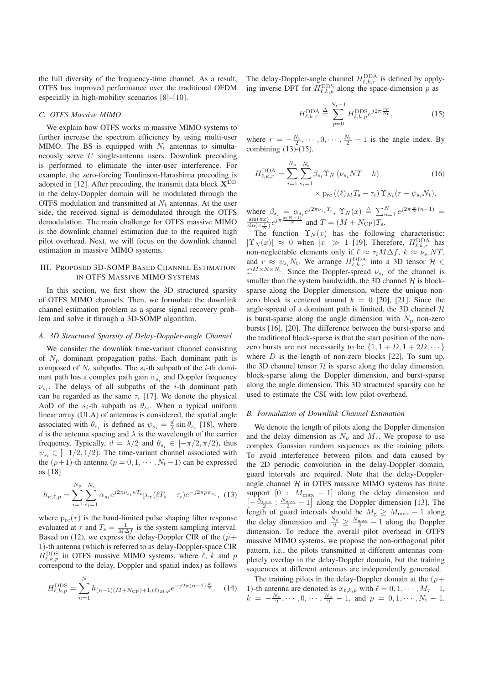the full diversity of the frequency-time channel. As a result, OTFS has improved performance over the traditional OFDM especially in high-mobility scenarios [8]–[10].

# *C. OTFS Massive MIMO*

We explain how OTFS works in massive MIMO systems to further increase the spectrum efficiency by using multi-user MIMO. The BS is equipped with  $N_t$  antennas to simultaneously serve U single-antenna users. Downlink precoding is performed to eliminate the inter-user interference. For example, the zero-forcing Tomlinson-Harashima precoding is adopted in [12]. After precoding, the transmit data block  $X^{DD}$ in the delay-Doppler domain will be modulated through the OTFS modulation and transmitted at  $N_t$  antennas. At the user side, the received signal is demodulated through the OTFS demodulation. The main challenge for OTFS massive MIMO is the downlink channel estimation due to the required high pilot overhead. Next, we will focus on the downlink channel estimation in massive MIMO systems.

## III. PROPOSED 3D-SOMP BASED CHANNEL ESTIMATION IN OTFS MASSIVE MIMO SYSTEMS

In this section, we first show the 3D structured sparsity of OTFS MIMO channels. Then, we formulate the downlink channel estimation problem as a sparse signal recovery problem and solve it through a 3D-SOMP algorithm.

## *A. 3D Structured Sparsity of Delay-Doppler-angle Channel*

We consider the downlink time-variant channel consisting of  $N_p$  dominant propagation paths. Each dominant path is composed of  $N_s$  subpaths. The  $s_i$ -th subpath of the *i*-th dominant path has a complex path gain  $\alpha_{s_i}$  and Doppler frequency  $\nu_{s}$ . The delays of all subpaths of the *i*-th dominant path can be regarded as the same  $\tau_i$  [17]. We denote the physical AoD of the  $s_i$ -th subpath as  $\theta_{s_i}$ . When a typical uniform linear array (ULA) of antennas is considered, the spatial angle associated with  $\theta_{s_i}$  is defined as  $\psi_{s_i} = \frac{d}{\lambda} \sin \theta_{s_i}$  [18], where d is the antenna spacing and  $\lambda$  is the wavelength of the carrier d is the antenna spacing and  $\lambda$  is the wavelength of the carrier frequency. Typically,  $d = \lambda/2$  and  $\theta_{s_i} \in [-\pi/2, \pi/2)$ , thus  $\psi_{s_i} \in [-1/2, 1/2)$ . The time-variant channel associated with the  $(p+1)$ -th antenna  $(p = 0, 1, \dots, N_t - 1)$  can be expressed as [18]

$$
h_{\kappa,\ell,p} = \sum_{i=1}^{N_{\rm p}} \sum_{s_i=1}^{N_{\rm s}} \alpha_{s_i} e^{j2\pi \nu_{s_i} \kappa T_{\rm s}} {\rm p}_{\rm rc} (\ell T_{\rm s} - \tau_i) e^{-j2\pi p \psi_{s_i}}, \tag{13}
$$

where  $p_{rc}(\tau)$  is the band-limited pulse shaping filter response evaluated at  $\tau$  and  $T_s = \frac{1}{M\Delta f}$  is the system sampling interval.<br>Based on (12), we express the delay-Doppler CIR of the  $(n+1)$ Based on (12), we express the delay-Doppler CIR of the  $(p +$ 1)-th antenna (which is referred to as delay-Doppler-space CIR  $H_{\ell,k,p}^{\rm{DDS}}$  in OTFS massive MIMO systems, where  $\ell, k$  and p correspond to the delay, Doppler and spatial index) as follows

$$
H_{\ell,k,p}^{\rm{DDS}} = \sum_{n=1}^{N} h_{(n-1)(M+N_{\rm{CP}})+1,(\ell)_M,p} e^{-j2\pi(n-1)\frac{k}{N}}.
$$
 (14)

The delay-Doppler-angle channel  $H_{\ell,k,r}^{\text{DDA}}$  is defined by applying inverse DFT for  $H_{\ell,k,p}^{\rm{DDS}}$  along the space-dimension p as

$$
H_{\ell,k,r}^{\text{DDA}} \stackrel{\Delta}{=} \sum_{p=0}^{N_{\text{t}}-1} H_{\ell,k,p}^{\text{DDS}} e^{j2\pi \frac{rp}{N_{\text{t}}}},\tag{15}
$$

where  $r = -\frac{N_t}{2}, \dots, 0, \dots, \frac{N_t}{2} - 1$  is the angle index. By combining (13)-(15) combining  $(13)-(15)$ ,

$$
H_{\ell,k,r}^{\text{DDA}} = \sum_{i=1}^{N_{\text{p}}} \sum_{s_i=1}^{N_{\text{s}}} \beta_{s_i} \Upsilon_N (\nu_{s_i} NT - k)
$$
 (16)  
 
$$
\times p_{\text{rc}} ((\ell)_M T_{\text{s}} - \tau_i) \Upsilon_{N_{\text{t}}} (r - \psi_{s_i} N_{\text{t}}),
$$

where  $\beta_{s_i} = \alpha_{s_i} e^{j2\pi \nu_{s_i} T_s}$ ,  $\Upsilon_N(x) \triangleq \sum_{n=1}^N e^{j2\pi \frac{x}{N}(n-1)} = \frac{\sin(\pi x)}{\sin(\pi x)} e^{j\pi \frac{x(N-1)}{N}}$  and  $T = (M + N_{\rm CP}) T_s$ .  $\frac{\sin(\pi x)}{\sin(\pi \frac{x}{N})} e^{j\pi \frac{x(N-1)}{N}}$  and  $T = (M + N_{\text{CP}})T_{\text{s}}$ .<br>The function  $\Upsilon$  (x) has the follow

The function  $\Upsilon_N(x)$  has the following characteristic:  $|\Upsilon_N(x)| \approx 0$  when  $|x| \gg 1$  [19]. Therefore,  $H_{\ell,k,r}^{\text{DDA}}$  has<br>non-neglectable elements only if  $\ell \approx \tau M \Delta f + k \approx \nu N T$ non-neglectable elements only if  $\ell \approx \tau_i M \Delta f$ ,  $k \approx \nu_{s_i} NT$ ,<br>and  $r \approx \psi/N$ . We arrange HDDA into a 3D tensor  $\mathcal{H} \in$ and  $r \approx \psi_{s_i} N_t$ . We arrange  $H_{\epsilon,k,r}^{\text{DDA}}$  into a 3D tensor  $\mathcal{H} \in$  $\mathbb{C}^{M\times N\times N_t}$ . Since the Doppler-spread  $\nu_{s_i}$  of the channel is smaller than the system bandwidth, the 3D channel  $H$  is blocksparse along the Doppler dimension, where the unique nonzero block is centered around  $k = 0$  [20], [21]. Since the angle-spread of a dominant path is limited, the 3D channel  $H$ is burst-sparse along the angle dimension with  $N_p$  non-zero bursts [16], [20]. The difference between the burst-sparse and the traditional block-sparse is that the start position of the nonzero bursts are not necessarily to be  $\{1, 1 + D, 1 + 2D, \dots\}$ where  $D$  is the length of non-zero blocks [22]. To sum up, the 3D channel tensor  $H$  is sparse along the delay dimension, block-sparse along the Doppler dimension, and burst-sparse along the angle dimension. This 3D structured sparsity can be used to estimate the CSI with low pilot overhead.

## *B. Formulation of Downlink Channel Estimation*

We denote the length of pilots along the Doppler dimension and the delay dimension as  $N_{\nu}$  and  $M_{\tau}$ . We propose to use complex Gaussian random sequences as the training pilots. To avoid interference between pilots and data caused by the 2D periodic convolution in the delay-Doppler domain, guard intervals are required. Note that the delay-Dopplerangle channel  $H$  in OTFS massive MIMO systems has finite support  $[0 : M_{\text{max}} - 1]$  along the delay dimension and  $\left[-\frac{N_{\text{max}}}{2}, \frac{N_{\text{max}}}{2} - 1\right]$  along the Doppler dimension [13]. The length of guard intervals should be  $M_{\rm g} \geq M_{\rm max} - 1$  along length of guard intervals should be  $M_g \ge M_{\text{max}} - 1$  along the Doppler dimension. To reduce the overall pilot overhead in OTFS massive MIMO systems, we propose the non-orthogonal pilot pattern, i.e., the pilots transmitted at different antennas completely overlap in the delay-Doppler domain, but the training sequences at different antennas are independently generated.

The training pilots in the delay-Doppler domain at the  $(p+$ 1)-th antenna are denoted as  $x_{\ell,k,p}$  with  $\ell = 0, 1, \cdots, M_{\tau}-1$ ,<br> $k = -\frac{N_{\nu}}{N_{\tau}-1}$ , and  $n = 0, 1, \cdots, N_{\tau}-1$  $k = -\frac{N_v}{2}, \cdots, 0, \cdots, \frac{N_v}{2} - 1, \text{ and } p = 0, 1, \cdots, N_t - 1.$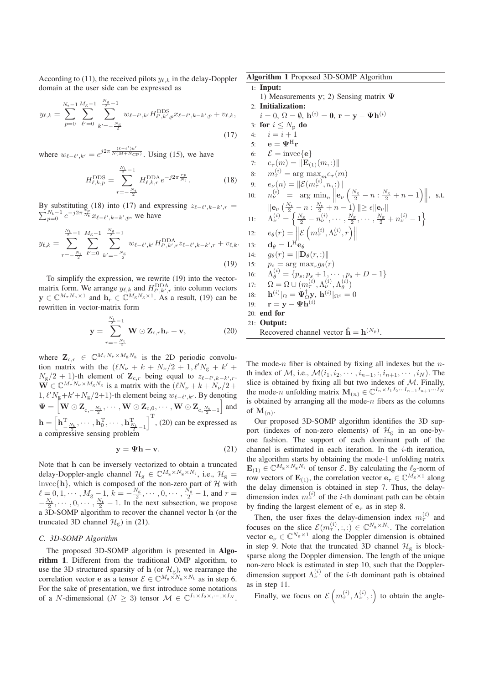According to (11), the received pilots  $y_{\ell,k}$  in the delay-Doppler domain at the user side can be expressed as

$$
y_{\ell,k} = \sum_{p=0}^{N_{\rm t}-1} \sum_{\ell'=0}^{M_{\rm g}-1} \sum_{k'=-\frac{N_{\rm g}}{2}}^{\frac{N_{\rm g}}{2}-1} w_{\ell-\ell',k'} H_{\ell',k',p}^{\rm DDS} x_{\ell-\ell',k-k',p} + v_{\ell,k},\tag{17}
$$

where  $w_{\ell-\ell',k'} = e^{j2\pi \frac{(\ell-\ell')k'}{N(M+N_{\rm CP})}}$ . Using (15), we have

$$
H_{\ell,k,p}^{\rm{DDS}} = \sum_{r=-\frac{N_{\rm{t}}}{2}}^{\frac{N_{\rm{t}}}{2}-1} H_{\ell,k,r}^{\rm{DDA}} e^{-j2\pi \frac{rp}{N_{\rm{t}}}}.
$$
 (18)

By substituting (18) into (17) and expressing  $z_{\ell-\ell',k-k'}$ By substituting (18) into (17) and expressing  $z_{\ell-\ell',k-k',r} = \sum_{p=0}^{N_t-1} e^{-j2\pi \frac{rp}{N_t}} x_{\ell-\ell',k-k',p}$ , we have

$$
y_{\ell,k} = \sum_{r=-\frac{N_t}{2}}^{\frac{N_t}{2}-1} \sum_{\ell'=0}^{M_g-1} \sum_{k'=-\frac{N_g}{2}}^{\frac{N_g}{2}-1} w_{\ell-\ell',k'} H_{\ell',k',r}^{\text{DDA}} z_{\ell-\ell',k-k',r} + v_{\ell,k}.
$$
\n(19)

To simplify the expression, we rewrite (19) into the vectormatrix form. We arrange  $y_{\ell,k}$  and  $H_{\ell',k',r}^{\rm DDA}$  into column vectors  $\mathbf{y} \in \mathbb{C}^{M_{\tau}N_{\nu}\times 1}$  and  $\mathbf{h}_r \in \mathbb{C}^{M_{\text{g}}N_{\text{g}}\times 1}$ . As a result, (19) can be rewritten in vector-matrix form

$$
\mathbf{y} = \sum_{r=-\frac{N_{\mathrm{t}}}{2}}^{\frac{N_{\mathrm{t}}}{2}-1} \mathbf{W} \odot \mathbf{Z}_{\mathrm{c},r} \mathbf{h}_r + \mathbf{v}, \qquad (20)
$$

where  $\mathbf{Z}_{c,r} \in \mathbb{C}^{M_{\tau}N_{\nu} \times M_{\rm g}N_{\rm g}}$  is the 2D periodic convolution matrix with the  $(\ell N_\nu + k + N_\nu/2 + 1, \ell' N_g + k' + N_\nu/2 + 1)$ . being equal to  $z_{\ell}$  and the  $N_g/2 + 1$ )-th element of  $\mathbf{Z}_{c,r}$  being equal to  $z_{\ell-\ell',k-k',r}$ .<br>W  $\in \mathbb{C}^{M_r N_v \times M_g N_g}$  is a matrix with the  $(\ell N + k + N)/2 +$  $\mathbf{W} \in \mathbb{C}^{M_{\tau}N_{\nu} \times M_{\rm g}N_{\rm g}}$  is a matrix with the  $\left(\ell N_{\nu} + k + N_{\nu}/2 + 1\right)$ <br>1.  $\ell' N$  + k' + N (2+1), the lement being  $w_{\ell}$  (exit) By denoting 1,  $\ell' N_g + k' + N_g/2 + 1$ )-th element being  $w_{\ell-\ell',k'}$ . By denoting  $\Psi = \left[ \mathbf{W} \odot \mathbf{Z}_{c,-\frac{N_{\mathrm{t}}}{2}}, \cdots, \mathbf{W} \odot \mathbf{Z}_{c,0}, \cdots, \mathbf{W} \odot \mathbf{Z}_{c,\frac{N_{\mathrm{t}}}{2}-1} \right]$  and  $\frac{1}{2}$   $c, \frac{1}{2} - 1$  $h = \left[ \mathbf{h}_{-\frac{N_t}{2}}, \cdots, \mathbf{h}_{0}^{\mathrm{T}}, \cdots, \mathbf{h}_{\frac{N_t}{2}-1}^{\mathrm{T}} \right]^{\mathrm{T}}$ , (20) can be expressed as a compressive sensing problem

$$
y = \Psi h + v. \tag{21}
$$

Note that **h** can be inversely vectorized to obtain a truncated delay-Doppler-angle channel  $\mathcal{H}_g \in \mathbb{C}^{M_g \times N_g \times N_t}$ , i.e.,  $\mathcal{H}_g$  = invec{**h**}, which is composed of the non-zero part of H with  $\ell = 0, 1, \dots, M_g - 1, k = -\frac{N_g}{2}, \dots, 0, \dots, \frac{N_g}{2} - 1$ , and  $r = -\frac{N_t}{2}, \dots, 0, \dots, \frac{N_t}{2} - 1$ . In the next subsection, we propose a 3D-SOMP algorithm to recover th a 3D-SOMP algorithm to recover the channel vector **h** (or the truncated 3D channel  $\mathcal{H}_{g}$ ) in (21).

#### *C. 3D-SOMP Algorithm*

The proposed 3D-SOMP algorithm is presented in Algorithm 1. Different from the traditional OMP algorithm, to use the 3D structured sparsity of **h** (or  $\mathcal{H}_g$ ), we rearrange the correlation vector  $g \in \mathbb{C}M_s \times N_s \times N_t$  as in stap 6. correlation vector **e** as a tensor  $\mathcal{E} \in \mathbb{C}^{M_g \times N_g \times N_t}$  as in step 6. For the sake of presentation, we first introduce some notations of a N-dimensional ( $N \geq 3$ ) tensor  $\mathcal{M} \in \mathbb{C}^{I_1 \times I_2 \times, \cdots, \times I_N}$ . Algorithm 1 Proposed 3D-SOMP Algorithm

1: Input: 1) Measurements **y**; 2) Sensing matrix **Ψ** 2: Initialization:  $i = 0, \, \Omega = \emptyset, \, \mathbf{h}^{(i)} = \mathbf{0}, \, \mathbf{r} = \mathbf{y} - \mathbf{\Psi} \mathbf{h}^{(i)}$ 3: for  $i \leq N_p$  do<br>4:  $i = i + 1$ 4:  $i = i + 1$ <br>5:  $e = \Psi^H$ 5: **e** =  $\Psi^H$ **r**<br>6:  $\mathcal{E}$  = invec 6:  $\mathcal{E} = \text{invec}\{\mathbf{e}\}\$ <br>7:  $e_{\tau}(m) = \|\mathbf{E}_G\|$ 7:  $e_{\tau}(m) = \|\mathbf{E}_{(1)}(m, :)\|$ <br>8:  $m_{\tau}^{(i)} = \arg \max_{\tau \in [i]} e_{\tau}$ 8:  $m_{\tau}^{(i)} = \arg \max_{m} e_{\tau}(m)$ <br>  $\lim_{n \to \infty} e_n (n) = ||\mathcal{E}(m(i), m_i)||$ 9:  $e_{\nu}(n) = ||\mathcal{E}(m_{\tau}^{(i)}, n, :)||$ <br>
10:  $n_{\nu}^{(i)} = \arg \min_{\nu} ||\mathbf{e}_{\nu}$ 9:  $e_{\nu}(n) = ||\mathcal{E}(m_{\tau}^{(i)}, n, :)||$ <br>
10:  $n_{\nu}^{(i)} = \arg \min_{n} ||e_{\nu} \left( \frac{N_{\rm g}}{2} - n : \frac{N_{\rm g}}{2} + n - 1 \right) ||$ , s.t.  $\|\mathbf{e}_{\nu}\left(\frac{N_{\mathrm{t}}}{2}-n:\frac{N_{\mathrm{t}}}{2}+n-1\right)\|\geq\epsilon\|\mathbf{e}_{\nu}\|$ 11:  $\Lambda_{\nu}^{(i)} = \left\{ \frac{N_{\rm g}}{2} - n_{\nu}^{(i)}, \cdots, \frac{N_{\rm g}}{2}, \cdots, \frac{N_{\rm g}}{2} + n_{\nu}^{(i)} - 1 \right\}$ 12:  $e_{\theta}(r) = \left\| \mathcal{E} \left( m_{\tau}^{(i)}, \Lambda_{\nu}^{(i)}, r \right) \right\|$ <br>
13:  $\mathbf{d}_{\theta} = \mathbf{L}^{\mathbf{H}} \mathbf{e}_{\theta}$ <br>
14:  $e_{\theta}(r) = \|\mathbf{D}_{\theta}(r, \cdot)\|$ 14:  $g_{\theta}(r) = ||\mathbf{D}_{\theta}(r, :)||$ <br>
15:  $p_s = \arg \max_{\theta} q_{\theta}(r)$ 15:  $p_s = \arg \max_r g_\theta(r)$ <br>16:  $\Lambda^{(i)} = \lim_{r \to \infty} n + 1$ 16:  $\Lambda_{\theta}^{(i)} = \{p_s, p_s + 1, \cdots, p_s + D - 1\}$ 17:  $\Omega = \Omega \cup (m_{\tau}^{(i)}, \Lambda_{\nu}^{(i)}, \Lambda_{\theta}^{(i)})$ <br>19:  $\mathbf{h}^{(i)}|_{\mathcal{S}} = \mathbf{W}^{\dagger} \mathbf{v} \mathbf{h}^{(i)}|_{\mathcal{S}} =$ 18:  $h^{(i)}|_{\Omega} = \Psi_{\Omega}^{\dagger} \mathbf{y}, h^{(i)}|_{\Omega_c} = 0$ <br>
19:  $\mathbf{r} = \mathbf{y} - \Psi h^{(i)}$ 20: end for 21: Output: Recovered channel vector  $\hat{\mathbf{h}} = \mathbf{h}^{(N_{\text{p}})}$ .

The mode-n fiber is obtained by fixing all indexes but the  $n$ th index of  $M$ , i.e.,  $\mathcal{M}(i_1, i_2, \dots, i_{n-1}, \dots, i_{n+1}, \dots, i_N)$ . The slice is obtained by fixing all but two indexes of  $M$ . Finally, the mode-n unfolding matrix  $\mathbf{M}_{(n)} \in \mathbb{C}^{I_n \times I_1 I_2 \cdots I_{n-1} I_{n+1} \cdots I_N}$ is obtained by arranging all the mode- $n$  fibers as the columns of  $\mathbf{M}_{(n)}$ .

Our proposed 3D-SOMP algorithm identifies the 3D support (indexes of non-zero elements) of  $\mathcal{H}_{g}$  in an one-byone fashion. The support of each dominant path of the channel is estimated in each iteration. In the  $i$ -th iteration, the algorithm starts by obtaining the mode-1 unfolding matrix  $\mathbf{E}_{(1)} \in \mathbb{C}^{M_g \times N_g N_t}$  of tensor  $\mathcal{E}$ . By calculating the  $\ell_2$ -norm of row vectors of  $\mathbf{E}_{(1)}$ , the correlation vector  $\mathbf{e}_{\tau} \in \mathbb{C}^{M_{g} \times 1}$  along the delay dimension is obtained in step 7. Thus, the delaydimension index  $m_{\tau}^{(i)}$  of the *i*-th dominant path can be obtain by finding the largest element of  $e_{\tau}$  as in step 8.

Then, the user fixes the delay-dimension index  $m_{\tau}^{(i)}$  and focuses on the slice  $\mathcal{E}(m_{\tau}^{(i)});$   $\in \mathbb{C}^{N_{\rm g} \times N_{\rm t}}$ . The correlation vector  $e \in \mathbb{C}^{N_{\rm g} \times 1}$  along the Doppler dimension is obtained vector  $\mathbf{e}_{\nu} \in \mathbb{C}^{N_{\rm g} \times 1}$  along the Doppler dimension is obtained in step 9. Note that the truncated 3D channel  $\mathcal{H}_g$  is blocksparse along the Doppler dimension. The length of the unique non-zero block is estimated in step 10, such that the Dopplerdimension support  $\Lambda_{\nu}^{(i)}$  of the *i*-th dominant path is obtained as in step 11.

Finally, we focus on  $\mathcal{E}\left(m_\tau^{(i)}, \Lambda_\nu^{(i)}\right)$  to obtain the angle-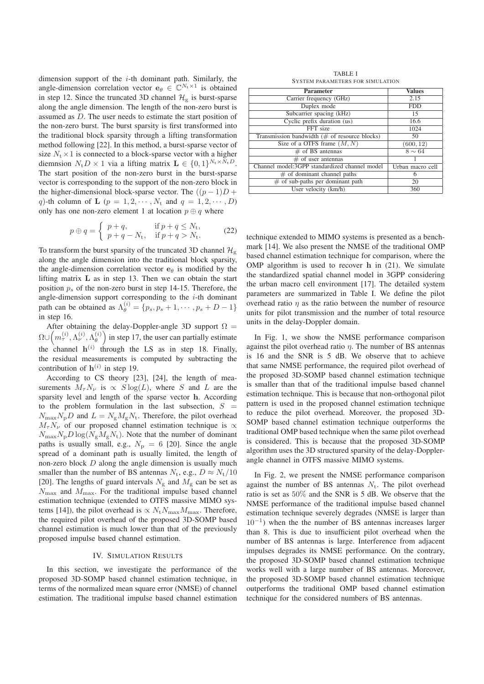dimension support of the  $i$ -th dominant path. Similarly, the angle-dimension correlation vector  $\mathbf{e}_{\theta} \in \mathbb{C}^{N_{\text{t}} \times 1}$  is obtained in step 12. Since the truncated 3D channel  $\mathcal{H}_{\alpha}$  is burst-sparse along the angle dimension. The length of the non-zero burst is assumed as D. The user needs to estimate the start position of the non-zero burst. The burst sparsity is first transformed into the traditional block sparsity through a lifting transformation method following [22]. In this method, a burst-sparse vector of size  $N_t \times 1$  is connected to a block-sparse vector with a higher diemnsion  $N_t D \times 1$  via a lifting matrix  $\mathbf{L} \in \{0, 1\}^{N_t \times N_t D}$ . The start position of the non-zero burst in the burst-sparse vector is corresponding to the support of the non-zero block in the higher-dimensional block-sparse vector. The  $((p - 1)D +$ q)-th column of **L** ( $p = 1, 2, \cdots, N_t$  and  $q = 1, 2, \cdots, D$ ) only has one non-zero element 1 at location  $p \oplus q$  where

$$
p \oplus q = \begin{cases} p + q, & \text{if } p + q \le N_{\text{t}}, \\ p + q - N_{\text{t}}, & \text{if } p + q > N_{\text{t}}. \end{cases} \tag{22}
$$

To transform the burst sparsity of the truncated 3D channel  $\mathcal{H}_{g}$ along the angle dimension into the traditional block sparsity, the angle-dimension correlation vector  $\mathbf{e}_{\theta}$  is modified by the lifting matrix **L** as in step 13. Then we can obtain the start position  $p_s$  of the non-zero burst in step 14-15. Therefore, the angle-dimension support corresponding to the  $i$ -th dominant path can be obtained as  $\Lambda_{\theta}^{(i)} = \{p_s, p_s + 1, \cdots, p_s + D - 1\}$ in step 16.

After obtaining the delay-Doppler-angle 3D support  $\Omega$  =  $\Omega \cup \left( m_{\tau}^{(i)}, \Lambda_{\nu}^{(i)}, \Lambda_{\theta}^{(i)} \right)$  in step 17, the user can partially estimate the channel  $h^{(i)}$  through the LS as in step 18. Finally, the residual measurements is computed by subtracting the contribution of  $h^{(i)}$  in step 19.

According to CS theory [23], [24], the length of measurements  $M_{\tau}N_{\nu}$  is  $\propto S \log(L)$ , where S and L are the sparsity level and length of the sparse vector **h**. According to the problem formulation in the last subsection,  $S =$  $N_{\text{max}}N_{\text{p}}D$  and  $L = N_{\text{g}}M_{\text{g}}N_{\text{t}}$ . Therefore, the pilot overhead  $M_{\tau}N_{\nu}$  of our proposed channel estimation technique is  $\propto$  $N_{\text{max}}N_{\text{p}}D\log(N_{\text{g}}M_{\text{g}}N_{\text{t}})$ . Note that the number of dominant paths is usually small, e.g.,  $N_p = 6$  [20]. Since the angle spread of a dominant path is usually limited, the length of non-zero block D along the angle dimension is usually much smaller than the number of BS antennas  $N_t$ , e.g.,  $D \approx N_t/10$ [20]. The lengths of guard intervals  $N_{\rm g}$  and  $M_{\rm g}$  can be set as  $N_{\text{max}}$  and  $M_{\text{max}}$ . For the traditional impulse based channel estimation technique (extended to OTFS massive MIMO systems [14]), the pilot overhead is  $\propto N_t N_{\text{max}} M_{\text{max}}$ . Therefore, the required pilot overhead of the proposed 3D-SOMP based channel estimation is much lower than that of the previously proposed impulse based channel estimation.

#### IV. SIMULATION RESULTS

In this section, we investigate the performance of the proposed 3D-SOMP based channel estimation technique, in terms of the normalized mean square error (NMSE) of channel estimation. The traditional impulse based channel estimation

| <b>TABLE I</b> |                                         |  |  |  |
|----------------|-----------------------------------------|--|--|--|
|                | <b>SYSTEM PARAMETERS FOR SIMULATION</b> |  |  |  |

| Parameter                                        | <b>Values</b>    |
|--------------------------------------------------|------------------|
| Carrier frequency (GHz)                          | 2.15             |
| Duplex mode                                      | <b>FDD</b>       |
| Subcarrier spacing (kHz)                         | 15               |
| Cyclic prefix duration (us)                      | 16.6             |
| FFT size                                         | 1024             |
| Transmission bandwidth ( $#$ of resource blocks) | 50               |
| Size of a OTFS frame $(M, N)$                    | (600, 12)        |
| $\#$ of BS antennas                              | $8 \sim 64$      |
| $#$ of user antennas                             |                  |
| Channel model:3GPP standardized channel model    | Urban macro cell |
| $#$ of dominant channel paths                    | 6                |
| $#$ of sub-paths per dominant path               | 20               |
| $\overline{User}$ velocity (km/h)                | 360              |

technique extended to MIMO systems is presented as a benchmark [14]. We also present the NMSE of the traditional OMP based channel estimation technique for comparison, where the OMP algorithm is used to recover **h** in (21). We simulate the standardized spatial channel model in 3GPP considering the urban macro cell environment [17]. The detailed system parameters are summarized in Table I. We define the pilot overhead ratio  $\eta$  as the ratio between the number of resource units for pilot transmission and the number of total resource units in the delay-Doppler domain.

In Fig. 1, we show the NMSE performance comparison against the pilot overhead ratio  $\eta$ . The number of BS antennas is 16 and the SNR is 5 dB. We observe that to achieve that same NMSE performance, the required pilot overhead of the proposed 3D-SOMP based channel estimation technique is smaller than that of the traditional impulse based channel estimation technique. This is because that non-orthogonal pilot pattern is used in the proposed channel estimation technique to reduce the pilot overhead. Moreover, the proposed 3D-SOMP based channel estimation technique outperforms the traditional OMP based technique when the same pilot overhead is considered. This is because that the proposed 3D-SOMP algorithm uses the 3D structured sparsity of the delay-Dopplerangle channel in OTFS massive MIMO systems.

In Fig. 2, we present the NMSE performance comparison against the number of BS antennas  $N_t$ . The pilot overhead ratio is set as 50% and the SNR is 5 dB. We observe that the NMSE performance of the traditional impulse based channel estimation technique severely degrades (NMSE is larger than  $10^{-1}$ ) when the the number of BS antennas increases larger than 8. This is due to insufficient pilot overhead when the number of BS antennas is large. Interference from adjacent impulses degrades its NMSE performance. On the contrary, the proposed 3D-SOMP based channel estimation technique works well with a large number of BS antennas. Moreover, the proposed 3D-SOMP based channel estimation technique outperforms the traditional OMP based channel estimation technique for the considered numbers of BS antennas.